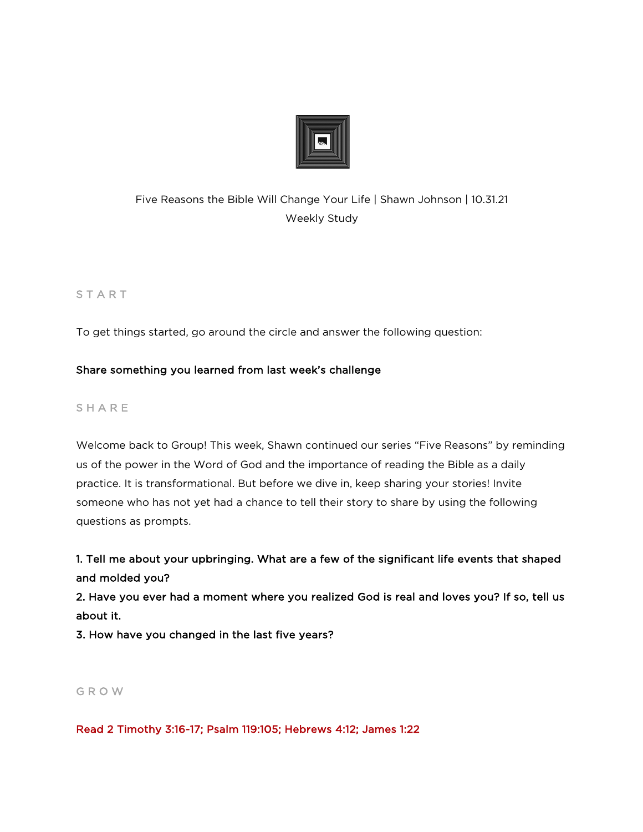

# Five Reasons the Bible Will Change Your Life | Shawn Johnson | 10.31.21 Weekly Study

# **START**

To get things started, go around the circle and answer the following question:

# Share something you learned from last week's challenge

# **SHARE**

Welcome back to Group! This week, Shawn continued our series "Five Reasons" by reminding us of the power in the Word of God and the importance of reading the Bible as a daily practice. It is transformational. But before we dive in, keep sharing your stories! Invite someone who has not yet had a chance to tell their story to share by using the following questions as prompts.

1. Tell me about your upbringing. What are a few of the significant life events that shaped and molded you?

2. Have you ever had a moment where you realized God is real and loves you? If so, tell us about it.

3. How have you changed in the last five years?

### G R O W

Read 2 Timothy 3:16-17; Psalm 119:105; Hebrews 4:12; James 1:22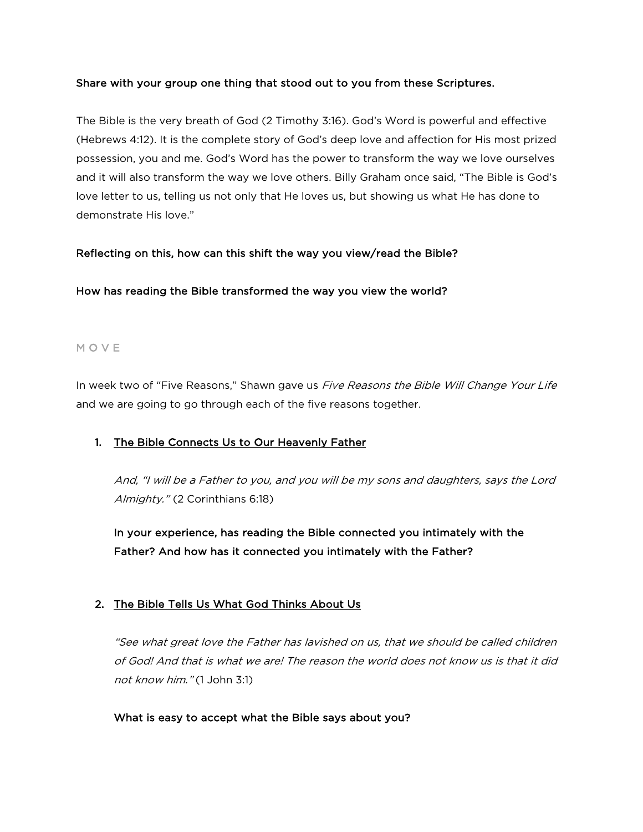#### Share with your group one thing that stood out to you from these Scriptures.

The Bible is the very breath of God (2 Timothy 3:16). God's Word is powerful and effective (Hebrews 4:12). It is the complete story of God's deep love and affection for His most prized possession, you and me. God's Word has the power to transform the way we love ourselves and it will also transform the way we love others. Billy Graham once said, "The Bible is God's love letter to us, telling us not only that He loves us, but showing us what He has done to demonstrate His love."

#### Reflecting on this, how can this shift the way you view/read the Bible?

#### How has reading the Bible transformed the way you view the world?

#### M O V E

In week two of "Five Reasons," Shawn gave us Five Reasons the Bible Will Change Your Life and we are going to go through each of the five reasons together.

### 1. The Bible Connects Us to Our Heavenly Father

And, "I will be a Father to you, and you will be my sons and daughters, says the Lord Almighty." (2 Corinthians 6:18)

In your experience, has reading the Bible connected you intimately with the Father? And how has it connected you intimately with the Father?

### 2. The Bible Tells Us What God Thinks About Us

"See what great love the Father has lavished on us, that we should be called children of God! And that is what we are! The reason the world does not know us is that it did not know him." (1 John 3:1)

#### What is easy to accept what the Bible says about you?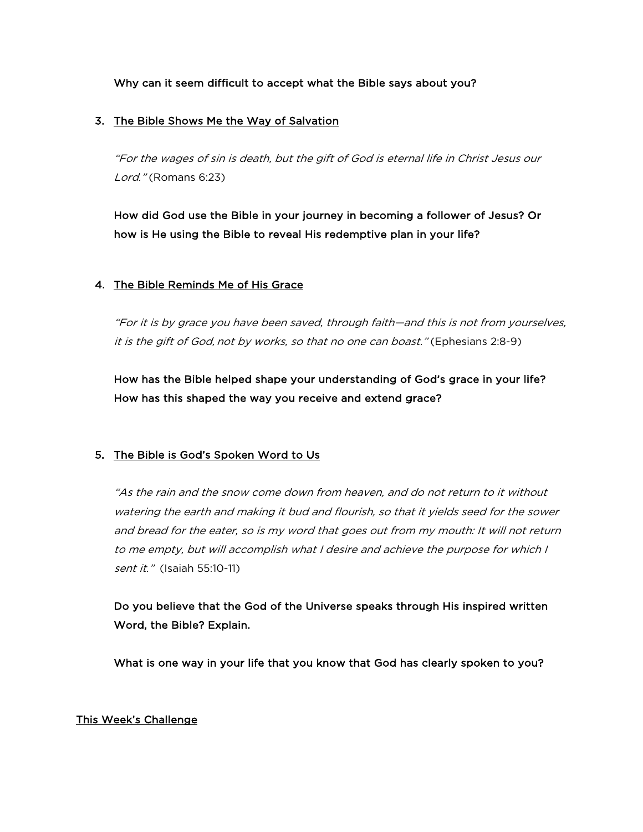Why can it seem difficult to accept what the Bible says about you?

#### 3. The Bible Shows Me the Way of Salvation

"For the wages of sin is death, but the gift of God is eternal life in Christ Jesus our Lord." (Romans 6:23)

How did God use the Bible in your journey in becoming a follower of Jesus? Or how is He using the Bible to reveal His redemptive plan in your life?

### 4. The Bible Reminds Me of His Grace

"For it is by grace you have been saved, through faith—and this is not from yourselves, it is the gift of God, not by works, so that no one can boast." (Ephesians 2:8-9)

How has the Bible helped shape your understanding of God's grace in your life? How has this shaped the way you receive and extend grace?

### 5. The Bible is God's Spoken Word to Us

"As the rain and the snow come down from heaven, and do not return to it without watering the earth and making it bud and flourish, so that it yields seed for the sower and bread for the eater, so is my word that goes out from my mouth: It will not return to me empty, but will accomplish what I desire and achieve the purpose for which I sent it." (Isaiah 55:10-11)

Do you believe that the God of the Universe speaks through His inspired written Word, the Bible? Explain.

What is one way in your life that you know that God has clearly spoken to you?

#### This Week's Challenge